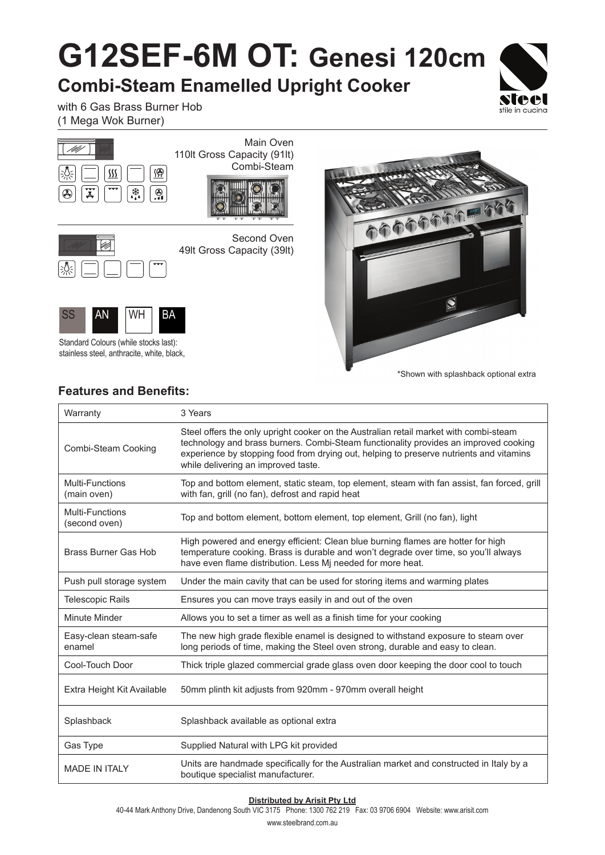## **G12SEF-6M OT: Genesi 120cm**

**Combi-Steam Enamelled Upright Cooker**



with 6 Gas Brass Burner Hob (1 Mega Wok Burner)





Second Oven 49lt Gross Capacity (39lt)



Standard Colours (while stocks last): stainless steel, anthracite, white, black,



\*Shown with splashback optional extra

## **Features and Benefits:**

| Warranty                                | 3 Years                                                                                                                                                                                                                                                                                                         |
|-----------------------------------------|-----------------------------------------------------------------------------------------------------------------------------------------------------------------------------------------------------------------------------------------------------------------------------------------------------------------|
| Combi-Steam Cooking                     | Steel offers the only upright cooker on the Australian retail market with combi-steam<br>technology and brass burners. Combi-Steam functionality provides an improved cooking<br>experience by stopping food from drying out, helping to preserve nutrients and vitamins<br>while delivering an improved taste. |
| Multi-Functions<br>(main oven)          | Top and bottom element, static steam, top element, steam with fan assist, fan forced, grill<br>with fan, grill (no fan), defrost and rapid heat                                                                                                                                                                 |
| <b>Multi-Functions</b><br>(second oven) | Top and bottom element, bottom element, top element, Grill (no fan), light                                                                                                                                                                                                                                      |
| <b>Brass Burner Gas Hob</b>             | High powered and energy efficient: Clean blue burning flames are hotter for high<br>temperature cooking. Brass is durable and won't degrade over time, so you'll always<br>have even flame distribution. Less Mj needed for more heat.                                                                          |
| Push pull storage system                | Under the main cavity that can be used for storing items and warming plates                                                                                                                                                                                                                                     |
| <b>Telescopic Rails</b>                 | Ensures you can move trays easily in and out of the oven                                                                                                                                                                                                                                                        |
| Minute Minder                           | Allows you to set a timer as well as a finish time for your cooking                                                                                                                                                                                                                                             |
| Easy-clean steam-safe<br>enamel         | The new high grade flexible enamel is designed to withstand exposure to steam over<br>long periods of time, making the Steel oven strong, durable and easy to clean.                                                                                                                                            |
| Cool-Touch Door                         | Thick triple glazed commercial grade glass oven door keeping the door cool to touch                                                                                                                                                                                                                             |
| Extra Height Kit Available              | 50mm plinth kit adjusts from 920mm - 970mm overall height                                                                                                                                                                                                                                                       |
| Splashback                              | Splashback available as optional extra                                                                                                                                                                                                                                                                          |
| Gas Type                                | Supplied Natural with LPG kit provided                                                                                                                                                                                                                                                                          |
| <b>MADE IN ITALY</b>                    | Units are handmade specifically for the Australian market and constructed in Italy by a<br>boutique specialist manufacturer.                                                                                                                                                                                    |

## **Distributed by Arisit Pty Ltd**

40-44 Mark Anthony Drive, Dandenong South VIC 3175 Phone: 1300 762 219 Fax: 03 9706 6904 Website: www.arisit.com

www.steelbrand.com.au